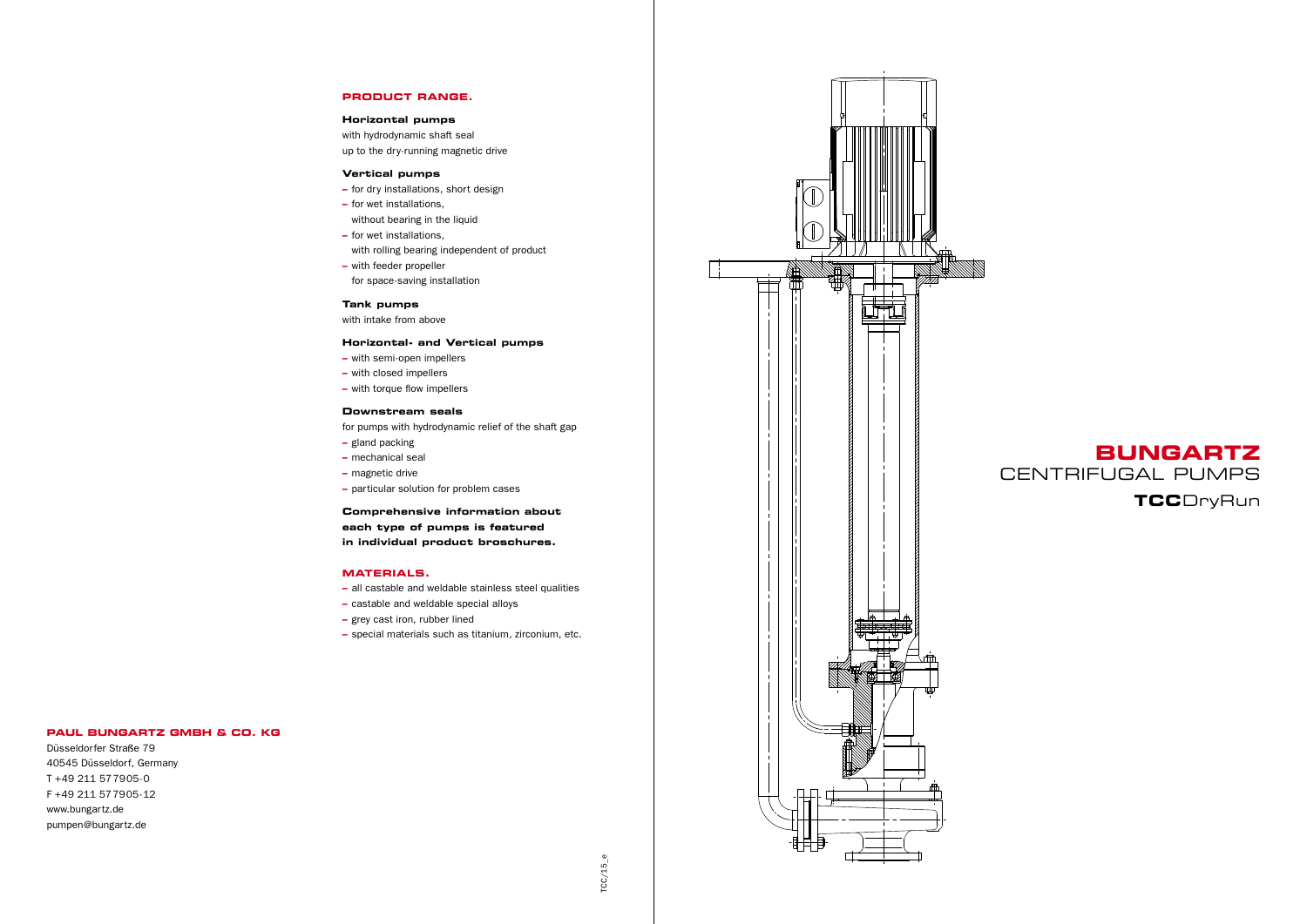

*TCC*  $TCC/15$ \_e



## **PRODUCT RANGE.**

### **Horizontal pumps**

with hydrodynamic shaft seal up to the dry-running magnetic drive

### **Vertical pumps**

- **–** for dry installations, short design
- **–** for wet installations, without bearing in the liquid
- **–** for wet installations,
- with rolling bearing independent of product
- **–** with feeder propeller
- for space-saving installation

## **Tank pumps**

with intake from above

## **Horizontal- and Vertical pumps**

- **–** with semi-open impellers
- **–** with closed impellers
- **–** with torque flow impellers

### **Downstream seals**

for pumps with hydrodynamic relief of the shaft gap

- **–** gland packing
- **–** mechanical seal
- **–** magnetic drive
- **–** particular solution for problem cases

**Comprehensive information about each type of pumps is featured in individual product broschures.** 

### **MATERIALS.**

- **–** all castable and weldable stainless steel qualities
- **–** castable and weldable special alloys
- **–** grey cast iron, rubber lined
- **–** special materials such as titanium, zirconium, etc.

### **Paul Bungartz GmbH & Co. KG**

Düsseldorfer Straße 79 40545 Düsseldorf, Germany T +49 211 577905-0 F +49 211 577905-12 www.bungartz.de pumpen@bungartz.de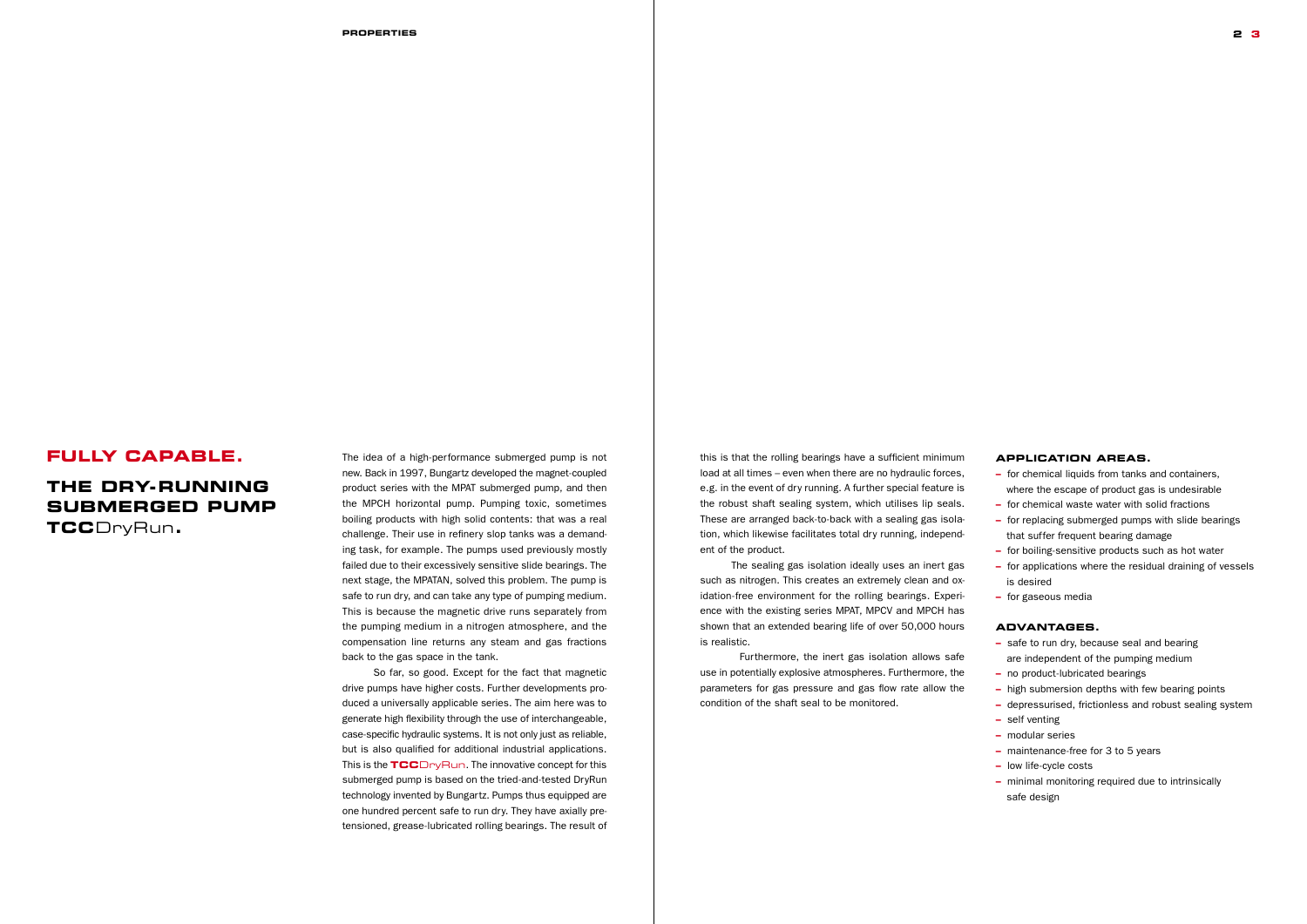## **Fully capable.**

# **The dry-running submerged pump**

**TCC**DryRun**.**

**2 3**

## **Application areas.**

**–** for chemical liquids from tanks and containers, where the escape of product gas is undesirable

- **–** for chemical waste water with solid fractions
- **–** for replacing submerged pumps with slide bearings that suffer frequent bearing damage
- **–** for boiling-sensitive products such as hot water
- **–** for applications where the residual draining of vessels is desired
- **–** for gaseous media

## **Advantages.**

- **–** safe to run dry, because seal and bearing are independent of the pumping medium
- **–** no product-lubricated bearings
- **–** high submersion depths with few bearing points
- **–** depressurised, frictionless and robust sealing system
- **–** self venting
- **–** modular series
- **–** maintenance-free for 3 to 5 years
- **–** low life-cycle costs
- **–** minimal monitoring required due to intrinsically safe design

this is that the rolling bearings have a sufficient minimum load at all times – even when there are no hydraulic forces, e.g. in the event of dry running. A further special feature is the robust shaft sealing system, which utilises lip seals. These are arranged back-to-back with a sealing gas isolation, which likewise facilitates total dry running, independent of the product.

The sealing gas isolation ideally uses an inert gas such as nitrogen. This creates an extremely clean and oxidation-free environment for the rolling bearings. Experience with the existing series MPAT, MPCV and MPCH has shown that an extended bearing life of over 50,000 hours is realistic.

Furthermore, the inert gas isolation allows safe use in potentially explosive atmospheres. Furthermore, the parameters for gas pressure and gas flow rate allow the condition of the shaft seal to be monitored.

The idea of a high-performance submerged pump is not new. Back in 1997, Bungartz developed the magnet-coupled product series with the MPAT submerged pump, and then the MPCH horizontal pump. Pumping toxic, sometimes boiling products with high solid contents: that was a real challenge. Their use in refinery slop tanks was a demanding task, for example. The pumps used previously mostly failed due to their excessively sensitive slide bearings. The next stage, the MPATAN, solved this problem. The pump is safe to run dry, and can take any type of pumping medium. This is because the magnetic drive runs separately from the pumping medium in a nitrogen atmosphere, and the compensation line returns any steam and gas fractions back to the gas space in the tank.

So far, so good. Except for the fact that magnetic drive pumps have higher costs. Further developments produced a universally applicable series. The aim here was to generate high flexibility through the use of interchangeable, case-specific hydraulic systems. It is not only just as reliable, but is also qualified for additional industrial applications. This is the **TCC**DryRun. The innovative concept for this submerged pump is based on the tried-and-tested DryRun technology invented by Bungartz. Pumps thus equipped are one hundred percent safe to run dry. They have axially pretensioned, grease-lubricated rolling bearings. The result of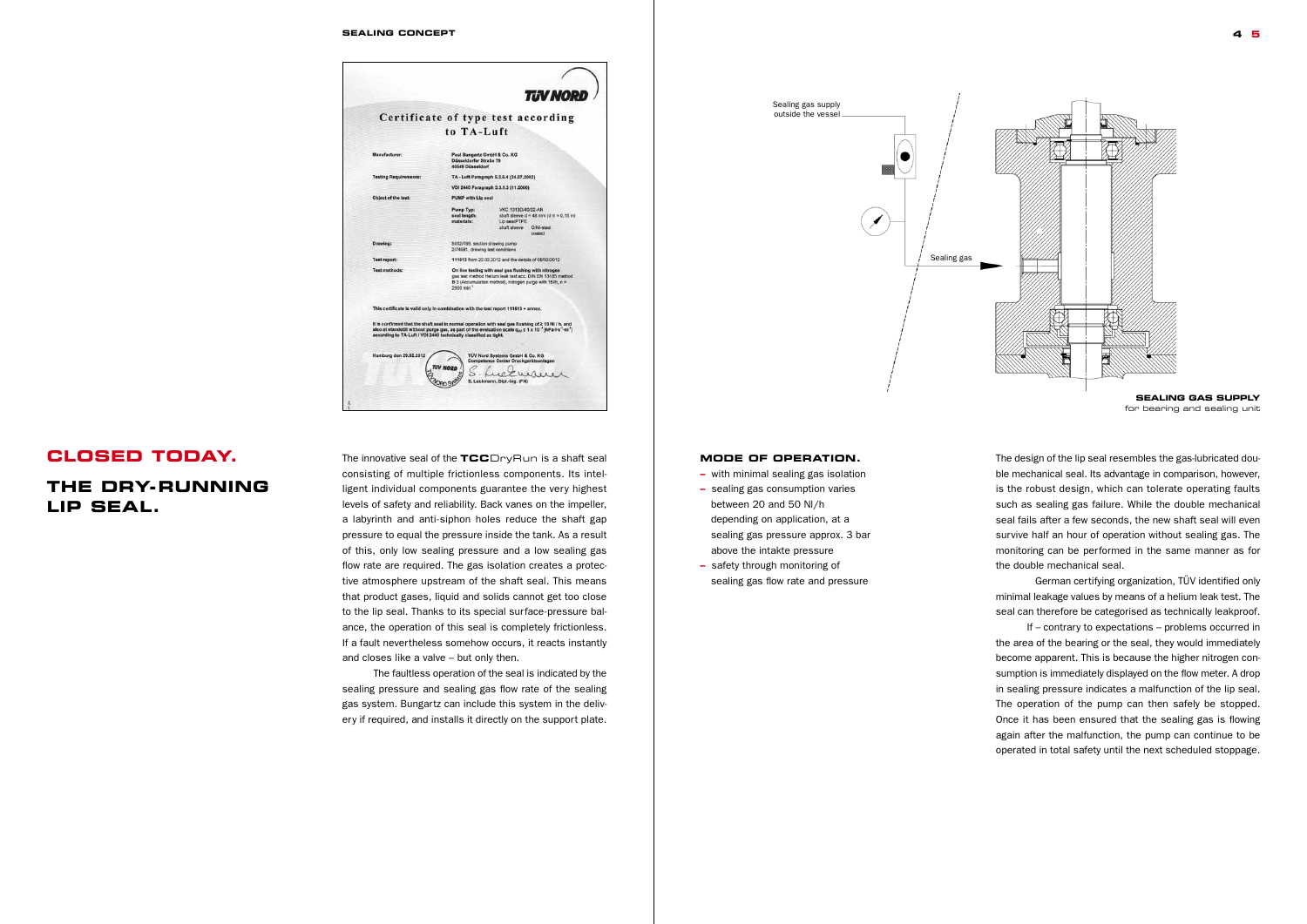**Sealing concept**



# **Closed today.**

# **The dry-running lip seal.**

**4 5**

The innovative seal of the **TCC**DryRun is a shaft seal consisting of multiple frictionless components. Its intelligent individual components guarantee the very highest levels of safety and reliability. Back vanes on the impeller, a labyrinth and anti-siphon holes reduce the shaft gap pressure to equal the pressure inside the tank. As a result of this, only low sealing pressure and a low sealing gas flow rate are required. The gas isolation creates a protective atmosphere upstream of the shaft seal. This means that product gases, liquid and solids cannot get too close to the lip seal. Thanks to its special surface-pressure balance, the operation of this seal is completely frictionless. If a fault nevertheless somehow occurs, it reacts instantly and closes like a valve – but only then.

The faultless operation of the seal is indicated by the sealing pressure and sealing gas flow rate of the sealing gas system. Bungartz can include this system in the delivery if required, and installs it directly on the support plate.

### **Mode of operation.**

**–** with minimal sealing gas isolation

- **–** sealing gas consumption varies between 20 and 50 Nl/h depending on application, at a sealing gas pressure approx. 3 bar above the intakte pressure
- **–** safety through monitoring of sealing gas flow rate and pressure



The design of the lip seal resembles the gas-lubricated double mechanical seal. Its advantage in comparison, however, is the robust design, which can tolerate operating faults such as sealing gas failure. While the double mechanical seal fails after a few seconds, the new shaft seal will even survive half an hour of operation without sealing gas. The monitoring can be performed in the same manner as for the double mechanical seal.

German certifying organization, TÜV identified only minimal leakage values by means of a helium leak test. The seal can therefore be categorised as technically leakproof.

If – contrary to expectations – problems occurred in the area of the bearing or the seal, they would immediately become apparent. This is because the higher nitrogen consumption is immediately displayed on the flow meter. A drop in sealing pressure indicates a malfunction of the lip seal. The operation of the pump can then safely be stopped. Once it has been ensured that the sealing gas is flowing again after the malfunction, the pump can continue to be operated in total safety until the next scheduled stoppage.

**Sealing gas supply**  for bearing and sealing unit

Sealing gas supply outside the vessel

Sealing gas

 $\bullet$ 

e e de la construcción de la construcción de la construcción de la construcción de la construcción de la construcción de la construcción de la construcción de la construcción de la construcción de la construcción de la con

∕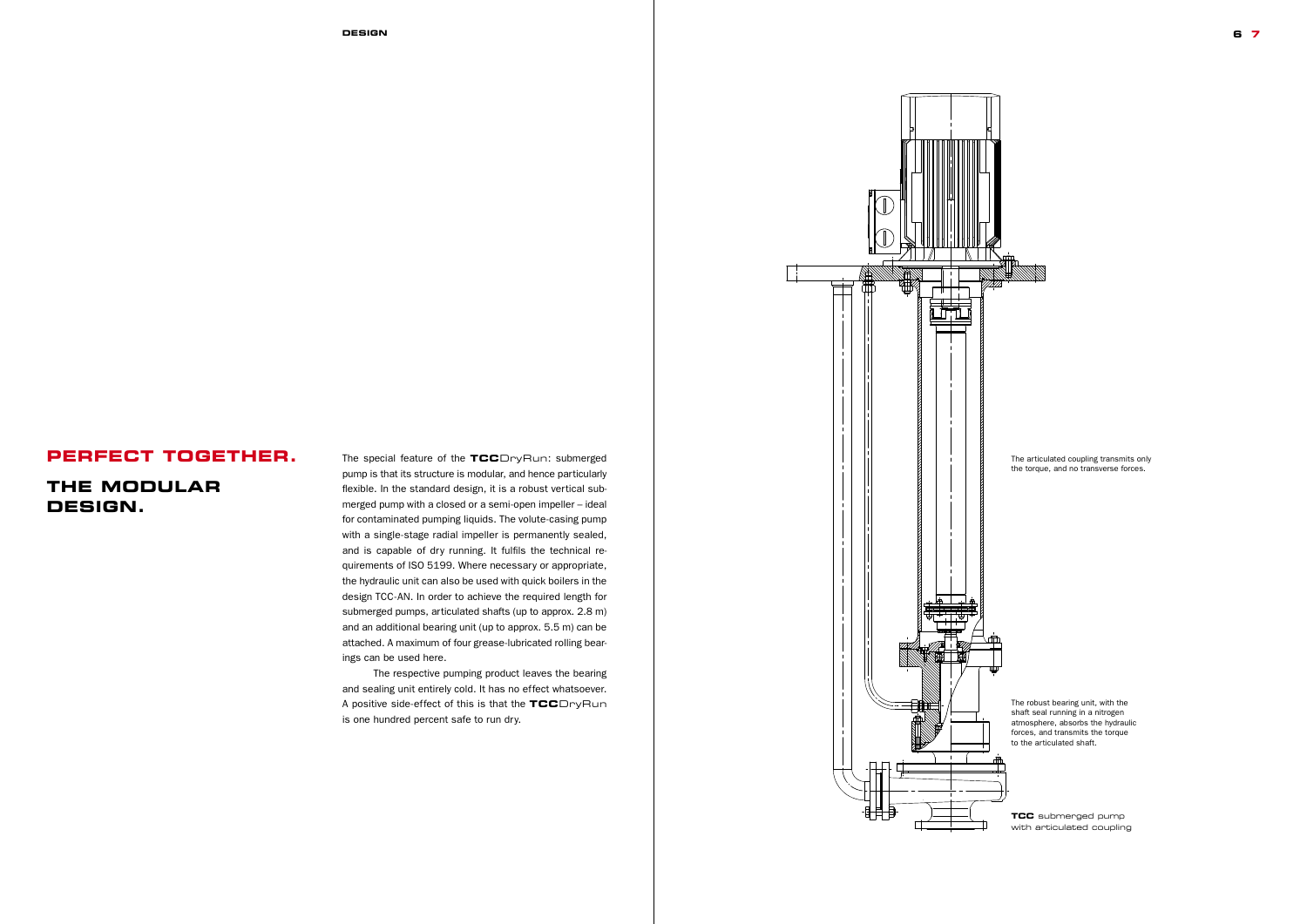#### **Design 6 7**

The special feature of the **TCC**DryRun: submerged pump is that its structure is modular, and hence particularly flexible. In the standard design, it is a robust vertical submerged pump with a closed or a semi-open impeller – ideal for contaminated pumping liquids. The volute-casing pump with a single-stage radial impeller is permanently sealed, and is capable of dry running. It fulfils the technical requirements of ISO 5199. Where necessary or appropriate, the hydraulic unit can also be used with quick boilers in the design TCC-AN. In order to achieve the required length for submerged pumps, articulated shafts (up to approx. 2.8 m) and an additional bearing unit (up to approx. 5.5 m) can be attached. A maximum of four grease-lubricated rolling bearings can be used here.

The respective pumping product leaves the bearing and sealing unit entirely cold. It has no effect whatsoever. A positive side-effect of this is that the **TCC**DryRun is one hundred percent safe to run dry.

# **Perfect together.**

# **The modular design.**

**TCC** submerged pump with articulated coupling

The articulated coupling transmits only the torque, and no transverse forces.

The robust bearing unit, with the shaft seal running in a nitrogen atmosphere, absorbs the hydraulic forces, and transmits the torque to the articulated shaft.

*TCC*

*Prospekt Seite 3*

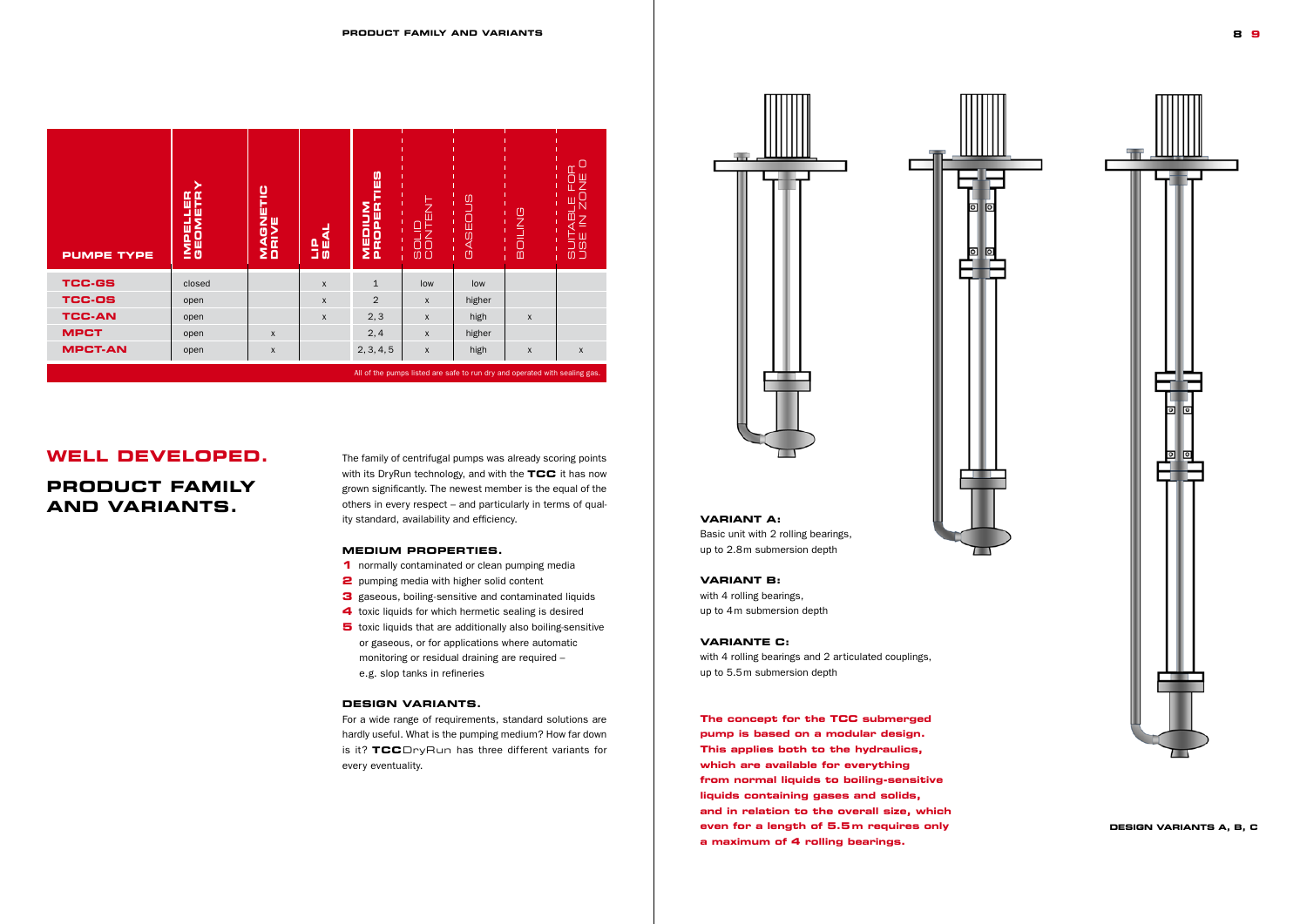The family of centrifugal pumps was already scoring points with its DryRun technology, and with the **TCC** it has now grown significantly. The newest member is the equal of the others in every respect – and particularly in terms of quality standard, availability and efficiency.

### **Medium properties.**

- **1** normally contaminated or clean pumping media
- **2** pumping media with higher solid content
- **3** gaseous, boiling-sensitive and contaminated liquids
- **4** toxic liquids for which hermetic sealing is desired
- **5** toxic liquids that are additionally also boiling-sensitive or gaseous, or for applications where automatic monitoring or residual draining are required – e.g. slop tanks in refineries

## **Design variants.**

For a wide range of requirements, standard solutions are hardly useful. What is the pumping medium? How far down is it? **TCC**DryRun has three different variants for every eventuality.





## **Well developed.**

# **Product family and variants.**

## **Design variants A, B, C**

| <b>PUMPE TYPE</b>                                                          | IMPELLER<br>GEOMETR | MAGNETIC<br>DRIVE | <b>LIP</b><br>SEAL | MEDIUM<br>PROPERTIES | <b>TENT</b><br><b>BOLID</b><br>CONTE | <b>GASEOUS</b> | BOILING          | <b>COPY</b><br>빚<br>щ<br>ត<br><b>SUIT</b><br>UBE |
|----------------------------------------------------------------------------|---------------------|-------------------|--------------------|----------------------|--------------------------------------|----------------|------------------|--------------------------------------------------|
| <b>TCC-GS</b>                                                              | closed              |                   | $\mathsf{X}$       | $\mathbf{1}$         | low                                  | low            |                  |                                                  |
| <b>TCC-OS</b>                                                              | open                |                   | $\mathsf{X}$       | 2                    | $\mathsf{x}$                         | higher         |                  |                                                  |
| <b>TCC-AN</b>                                                              | open                |                   | $\mathsf{x}$       | 2, 3                 | $\mathsf{x}$                         | high           | $\boldsymbol{X}$ |                                                  |
| <b>MPCT</b>                                                                | open                | $\pmb{\chi}$      |                    | 2,4                  | $\mathsf{x}$                         | higher         |                  |                                                  |
| <b>MPCT-AN</b>                                                             | open                | $\mathsf X$       |                    | 2, 3, 4, 5           | $\mathsf{x}$                         | high           | $\pmb{\chi}$     | $\pmb{\mathsf{X}}$                               |
| All of the pumps listed are safe to run dry and operated with sealing gas. |                     |                   |                    |                      |                                      |                |                  |                                                  |

### **Variant A:**

Basic unit with 2 rolling bearings, up to 2.8m submersion depth

### **Variant B:**

with 4 rolling bearings, up to 4m submersion depth

## **Variante C:**

with 4 rolling bearings and 2 articulated couplings, up to 5.5m submersion depth

**The concept for the TCC submerged pump is based on a modular design. This applies both to the hydraulics, which are available for everything from normal liquids to boiling-sensitive liquids containing gases and solids, and in relation to the overall size, which even for a length of 5.5m requires only a maximum of 4 rolling bearings.**